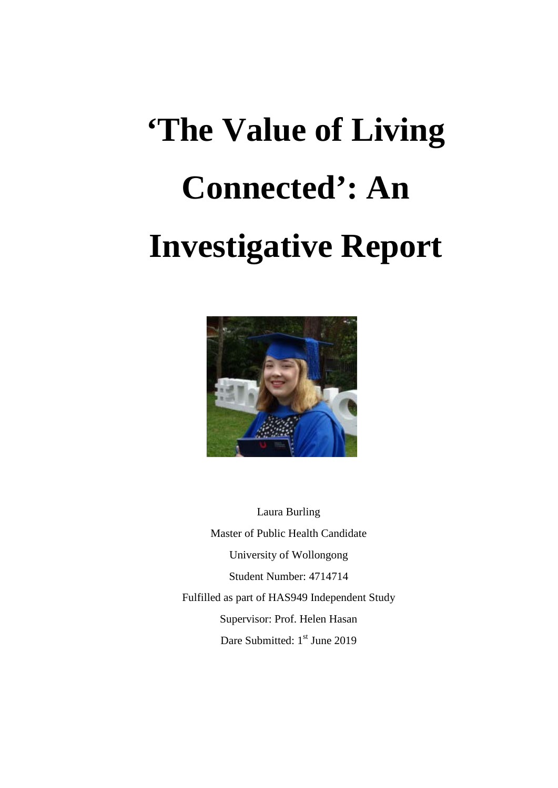# **'The Value of Living Connected': An Investigative Report**



Laura Burling Master of Public Health Candidate University of Wollongong Student Number: 4714714 Fulfilled as part of HAS949 Independent Study Supervisor: Prof. Helen Hasan Dare Submitted: 1<sup>st</sup> June 2019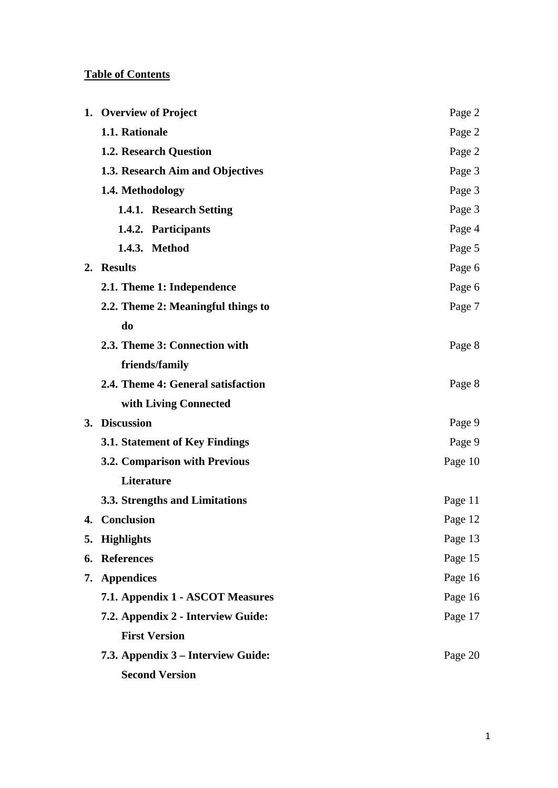# **Table of Contents**

|    | 1. Overview of Project             | Page 2  |
|----|------------------------------------|---------|
|    | 1.1. Rationale                     | Page 2  |
|    | 1.2. Research Question             | Page 2  |
|    | 1.3. Research Aim and Objectives   | Page 3  |
|    | 1.4. Methodology                   | Page 3  |
|    | 1.4.1. Research Setting            | Page 3  |
|    | 1.4.2. Participants                | Page 4  |
|    | 1.4.3. Method                      | Page 5  |
|    | 2. Results                         | Page 6  |
|    | 2.1. Theme 1: Independence         | Page 6  |
|    | 2.2. Theme 2: Meaningful things to | Page 7  |
|    | do                                 |         |
|    | 2.3. Theme 3: Connection with      | Page 8  |
|    | friends/family                     |         |
|    | 2.4. Theme 4: General satisfaction | Page 8  |
|    | with Living Connected              |         |
|    | 3. Discussion                      | Page 9  |
|    | 3.1. Statement of Key Findings     | Page 9  |
|    | 3.2. Comparison with Previous      | Page 10 |
|    | Literature                         |         |
|    | 3.3. Strengths and Limitations     | Page 11 |
|    | 4. Conclusion                      | Page 12 |
| 5. | <b>Highlights</b>                  | Page 13 |
|    | 6. References                      | Page 15 |
|    | 7. Appendices                      | Page 16 |
|    | 7.1. Appendix 1 - ASCOT Measures   | Page 16 |
|    | 7.2. Appendix 2 - Interview Guide: | Page 17 |
|    | <b>First Version</b>               |         |
|    | 7.3. Appendix 3 – Interview Guide: | Page 20 |
|    | <b>Second Version</b>              |         |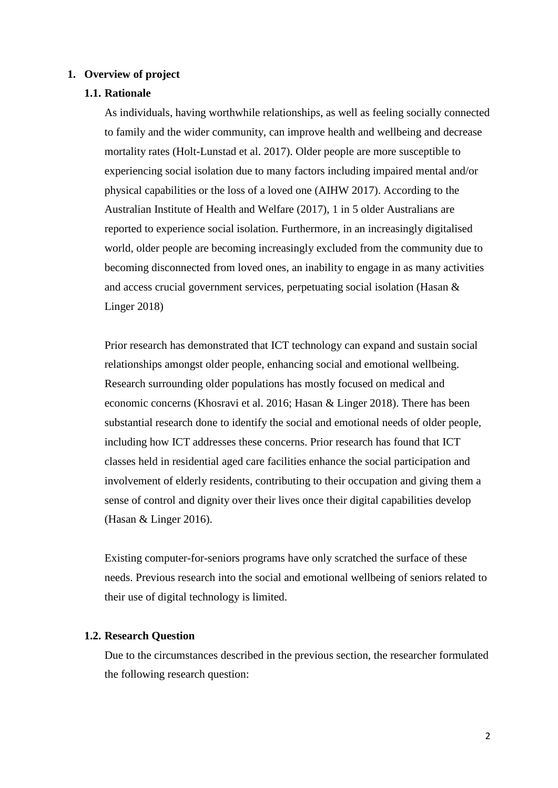#### **1. Overview of project**

#### **1.1. Rationale**

As individuals, having worthwhile relationships, as well as feeling socially connected to family and the wider community, can improve health and wellbeing and decrease mortality rates (Holt-Lunstad et al. 2017). Older people are more susceptible to experiencing social isolation due to many factors including impaired mental and/or physical capabilities or the loss of a loved one (AIHW 2017). According to the Australian Institute of Health and Welfare (2017), 1 in 5 older Australians are reported to experience social isolation. Furthermore, in an increasingly digitalised world, older people are becoming increasingly excluded from the community due to becoming disconnected from loved ones, an inability to engage in as many activities and access crucial government services, perpetuating social isolation (Hasan & Linger 2018)

Prior research has demonstrated that ICT technology can expand and sustain social relationships amongst older people, enhancing social and emotional wellbeing. Research surrounding older populations has mostly focused on medical and economic concerns (Khosravi et al. 2016; Hasan & Linger 2018). There has been substantial research done to identify the social and emotional needs of older people, including how ICT addresses these concerns. Prior research has found that ICT classes held in residential aged care facilities enhance the social participation and involvement of elderly residents, contributing to their occupation and giving them a sense of control and dignity over their lives once their digital capabilities develop (Hasan & Linger 2016).

Existing computer-for-seniors programs have only scratched the surface of these needs. Previous research into the social and emotional wellbeing of seniors related to their use of digital technology is limited.

#### **1.2. Research Question**

Due to the circumstances described in the previous section, the researcher formulated the following research question: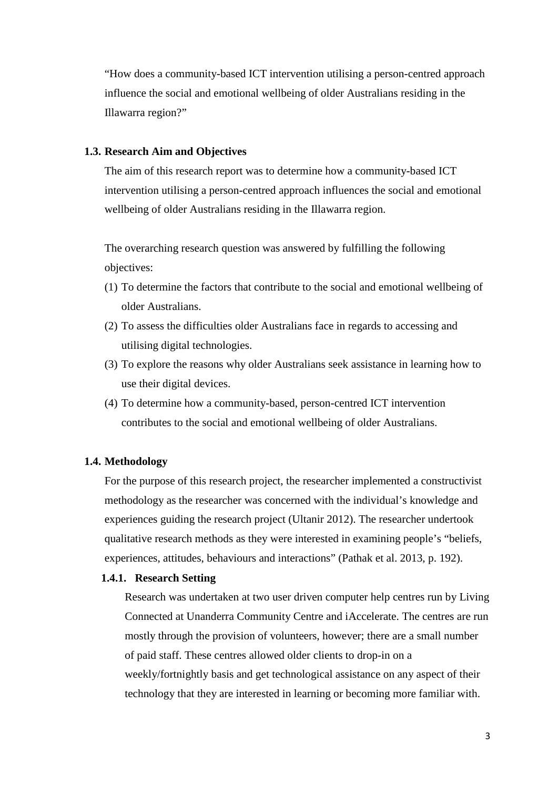"How does a community-based ICT intervention utilising a person-centred approach influence the social and emotional wellbeing of older Australians residing in the Illawarra region?"

#### **1.3. Research Aim and Objectives**

The aim of this research report was to determine how a community-based ICT intervention utilising a person-centred approach influences the social and emotional wellbeing of older Australians residing in the Illawarra region.

The overarching research question was answered by fulfilling the following objectives:

- (1) To determine the factors that contribute to the social and emotional wellbeing of older Australians.
- (2) To assess the difficulties older Australians face in regards to accessing and utilising digital technologies.
- (3) To explore the reasons why older Australians seek assistance in learning how to use their digital devices.
- (4) To determine how a community-based, person-centred ICT intervention contributes to the social and emotional wellbeing of older Australians.

#### **1.4. Methodology**

For the purpose of this research project, the researcher implemented a constructivist methodology as the researcher was concerned with the individual's knowledge and experiences guiding the research project (Ultanir 2012). The researcher undertook qualitative research methods as they were interested in examining people's "beliefs, experiences, attitudes, behaviours and interactions" (Pathak et al. 2013, p. 192).

## **1.4.1. Research Setting**

Research was undertaken at two user driven computer help centres run by Living Connected at Unanderra Community Centre and iAccelerate. The centres are run mostly through the provision of volunteers, however; there are a small number of paid staff. These centres allowed older clients to drop-in on a weekly/fortnightly basis and get technological assistance on any aspect of their technology that they are interested in learning or becoming more familiar with.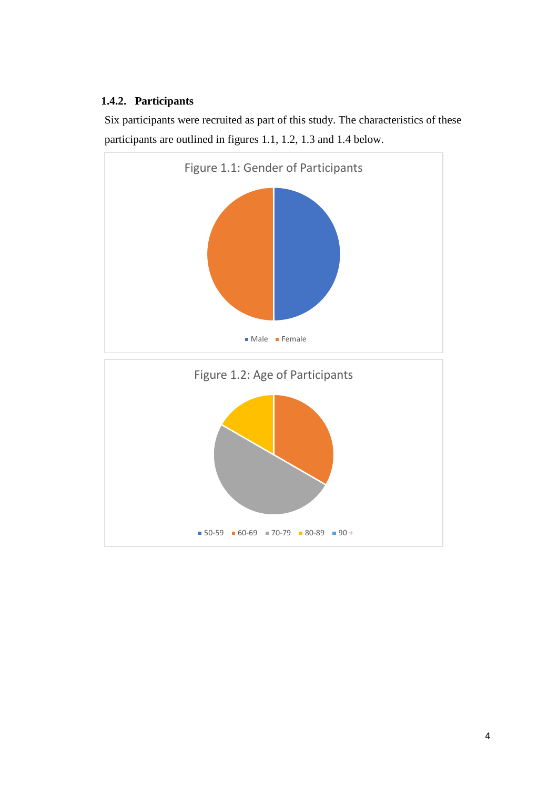# **1.4.2. Participants**

Six participants were recruited as part of this study. The characteristics of these participants are outlined in figures 1.1, 1.2, 1.3 and 1.4 below.

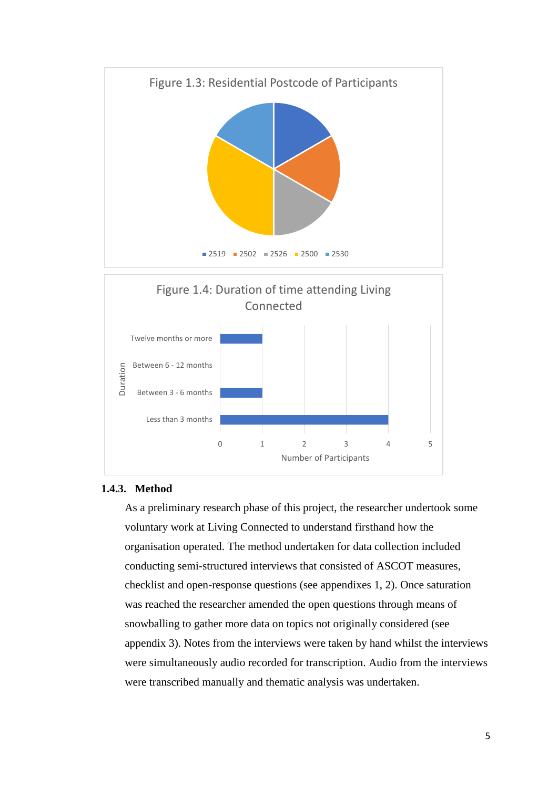

#### **1.4.3. Method**

As a preliminary research phase of this project, the researcher undertook some voluntary work at Living Connected to understand firsthand how the organisation operated. The method undertaken for data collection included conducting semi-structured interviews that consisted of ASCOT measures, checklist and open-response questions (see appendixes 1, 2). Once saturation was reached the researcher amended the open questions through means of snowballing to gather more data on topics not originally considered (see appendix 3). Notes from the interviews were taken by hand whilst the interviews were simultaneously audio recorded for transcription. Audio from the interviews were transcribed manually and thematic analysis was undertaken.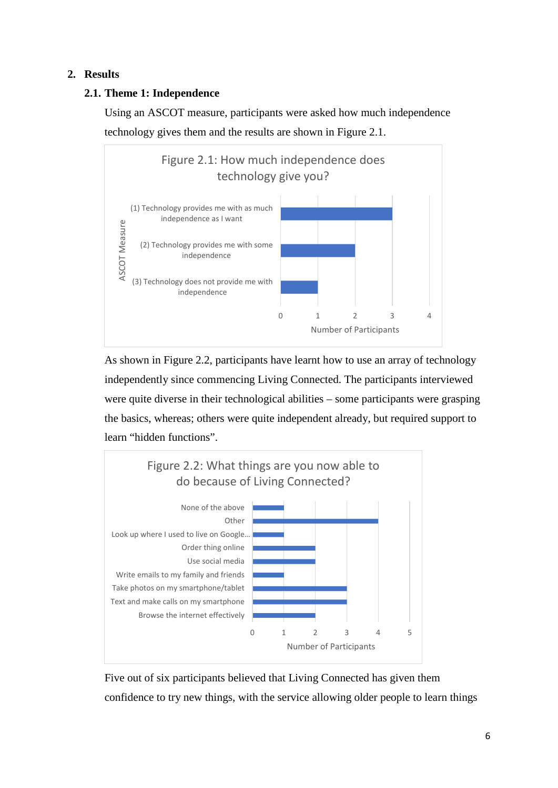# **2. Results**

# **2.1. Theme 1: Independence**

Using an ASCOT measure, participants were asked how much independence technology gives them and the results are shown in Figure 2.1.



As shown in Figure 2.2, participants have learnt how to use an array of technology independently since commencing Living Connected. The participants interviewed were quite diverse in their technological abilities – some participants were grasping the basics, whereas; others were quite independent already, but required support to learn "hidden functions".



Five out of six participants believed that Living Connected has given them confidence to try new things, with the service allowing older people to learn things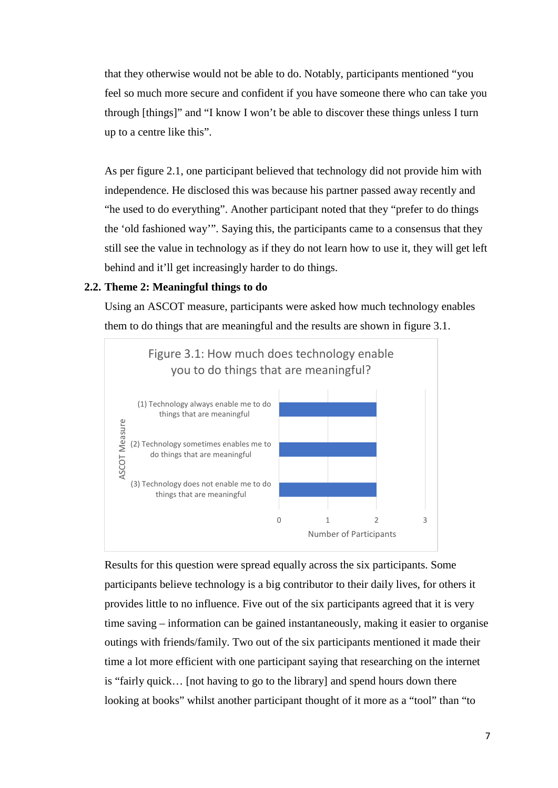that they otherwise would not be able to do. Notably, participants mentioned "you feel so much more secure and confident if you have someone there who can take you through [things]" and "I know I won't be able to discover these things unless I turn up to a centre like this".

As per figure 2.1, one participant believed that technology did not provide him with independence. He disclosed this was because his partner passed away recently and "he used to do everything". Another participant noted that they "prefer to do things the 'old fashioned way'". Saying this, the participants came to a consensus that they still see the value in technology as if they do not learn how to use it, they will get left behind and it'll get increasingly harder to do things.

# **2.2. Theme 2: Meaningful things to do**

Using an ASCOT measure, participants were asked how much technology enables them to do things that are meaningful and the results are shown in figure 3.1.



Results for this question were spread equally across the six participants. Some participants believe technology is a big contributor to their daily lives, for others it provides little to no influence. Five out of the six participants agreed that it is very time saving – information can be gained instantaneously, making it easier to organise outings with friends/family. Two out of the six participants mentioned it made their time a lot more efficient with one participant saying that researching on the internet is "fairly quick… [not having to go to the library] and spend hours down there looking at books" whilst another participant thought of it more as a "tool" than "to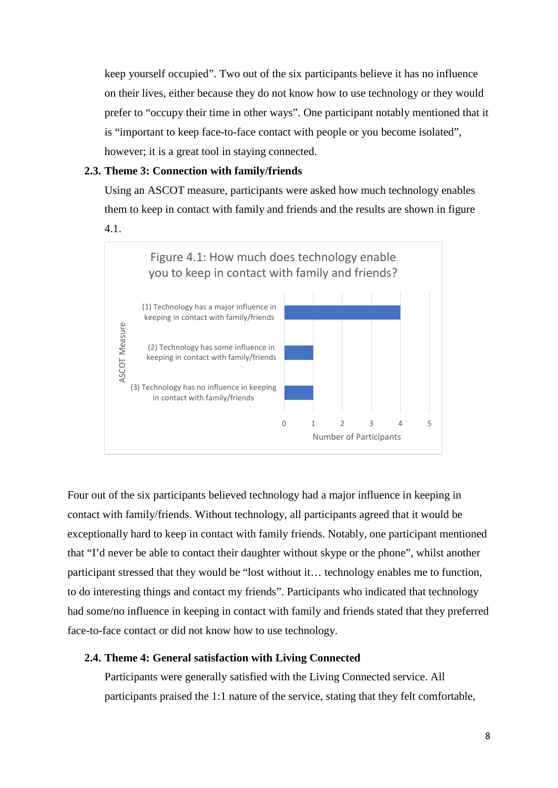keep yourself occupied". Two out of the six participants believe it has no influence on their lives, either because they do not know how to use technology or they would prefer to "occupy their time in other ways". One participant notably mentioned that it is "important to keep face-to-face contact with people or you become isolated", however; it is a great tool in staying connected.

#### **2.3. Theme 3: Connection with family/friends**

Using an ASCOT measure, participants were asked how much technology enables them to keep in contact with family and friends and the results are shown in figure 4.1.



Four out of the six participants believed technology had a major influence in keeping in contact with family/friends. Without technology, all participants agreed that it would be exceptionally hard to keep in contact with family friends. Notably, one participant mentioned that "I'd never be able to contact their daughter without skype or the phone", whilst another participant stressed that they would be "lost without it… technology enables me to function, to do interesting things and contact my friends". Participants who indicated that technology had some/no influence in keeping in contact with family and friends stated that they preferred face-to-face contact or did not know how to use technology.

#### **2.4. Theme 4: General satisfaction with Living Connected**

Participants were generally satisfied with the Living Connected service. All participants praised the 1:1 nature of the service, stating that they felt comfortable,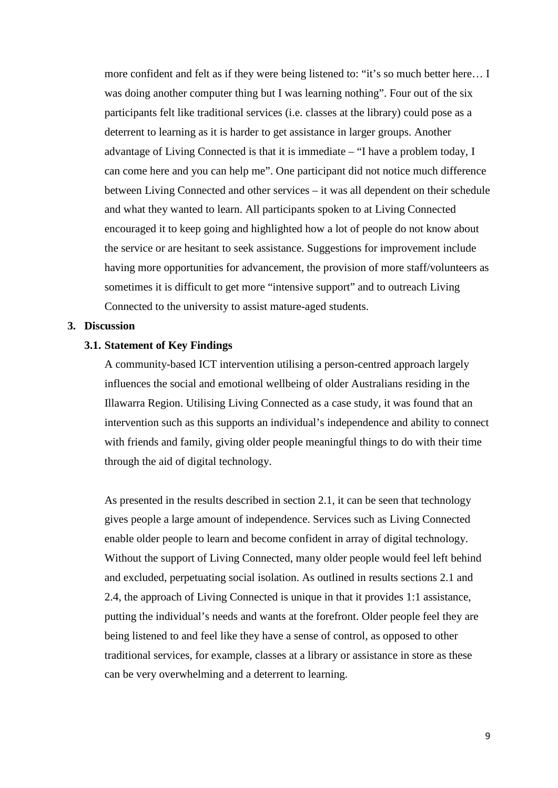more confident and felt as if they were being listened to: "it's so much better here… I was doing another computer thing but I was learning nothing". Four out of the six participants felt like traditional services (i.e. classes at the library) could pose as a deterrent to learning as it is harder to get assistance in larger groups. Another advantage of Living Connected is that it is immediate – "I have a problem today, I can come here and you can help me". One participant did not notice much difference between Living Connected and other services – it was all dependent on their schedule and what they wanted to learn. All participants spoken to at Living Connected encouraged it to keep going and highlighted how a lot of people do not know about the service or are hesitant to seek assistance. Suggestions for improvement include having more opportunities for advancement, the provision of more staff/volunteers as sometimes it is difficult to get more "intensive support" and to outreach Living Connected to the university to assist mature-aged students.

#### **3. Discussion**

#### **3.1. Statement of Key Findings**

A community-based ICT intervention utilising a person-centred approach largely influences the social and emotional wellbeing of older Australians residing in the Illawarra Region. Utilising Living Connected as a case study, it was found that an intervention such as this supports an individual's independence and ability to connect with friends and family, giving older people meaningful things to do with their time through the aid of digital technology.

As presented in the results described in section 2.1, it can be seen that technology gives people a large amount of independence. Services such as Living Connected enable older people to learn and become confident in array of digital technology. Without the support of Living Connected, many older people would feel left behind and excluded, perpetuating social isolation. As outlined in results sections 2.1 and 2.4, the approach of Living Connected is unique in that it provides 1:1 assistance, putting the individual's needs and wants at the forefront. Older people feel they are being listened to and feel like they have a sense of control, as opposed to other traditional services, for example, classes at a library or assistance in store as these can be very overwhelming and a deterrent to learning.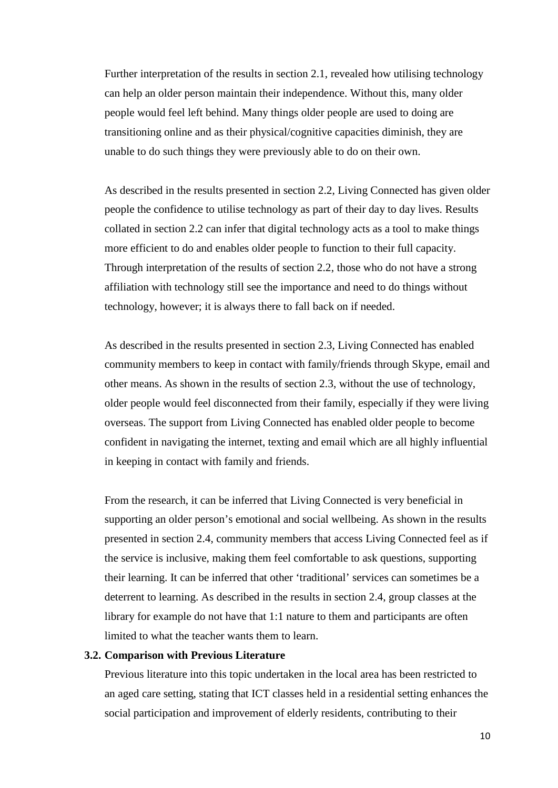Further interpretation of the results in section 2.1, revealed how utilising technology can help an older person maintain their independence. Without this, many older people would feel left behind. Many things older people are used to doing are transitioning online and as their physical/cognitive capacities diminish, they are unable to do such things they were previously able to do on their own.

As described in the results presented in section 2.2, Living Connected has given older people the confidence to utilise technology as part of their day to day lives. Results collated in section 2.2 can infer that digital technology acts as a tool to make things more efficient to do and enables older people to function to their full capacity. Through interpretation of the results of section 2.2, those who do not have a strong affiliation with technology still see the importance and need to do things without technology, however; it is always there to fall back on if needed.

As described in the results presented in section 2.3, Living Connected has enabled community members to keep in contact with family/friends through Skype, email and other means. As shown in the results of section 2.3, without the use of technology, older people would feel disconnected from their family, especially if they were living overseas. The support from Living Connected has enabled older people to become confident in navigating the internet, texting and email which are all highly influential in keeping in contact with family and friends.

From the research, it can be inferred that Living Connected is very beneficial in supporting an older person's emotional and social wellbeing. As shown in the results presented in section 2.4, community members that access Living Connected feel as if the service is inclusive, making them feel comfortable to ask questions, supporting their learning. It can be inferred that other 'traditional' services can sometimes be a deterrent to learning. As described in the results in section 2.4, group classes at the library for example do not have that 1:1 nature to them and participants are often limited to what the teacher wants them to learn.

#### **3.2. Comparison with Previous Literature**

Previous literature into this topic undertaken in the local area has been restricted to an aged care setting, stating that ICT classes held in a residential setting enhances the social participation and improvement of elderly residents, contributing to their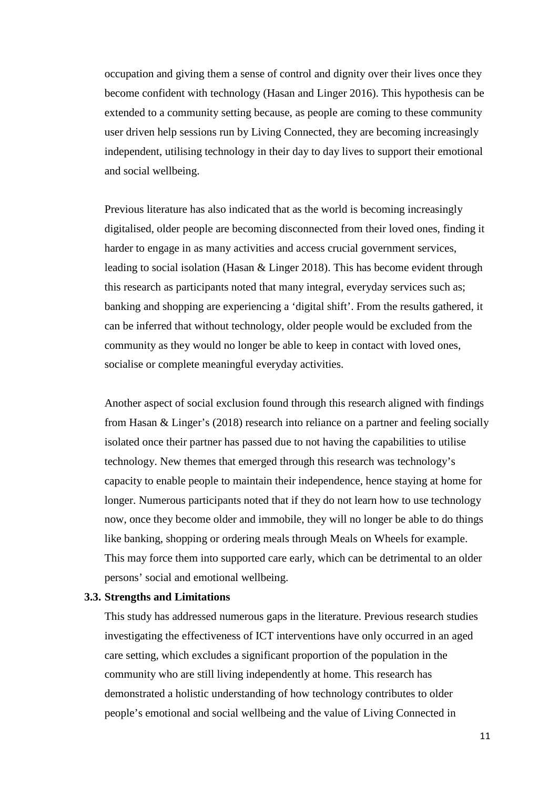occupation and giving them a sense of control and dignity over their lives once they become confident with technology (Hasan and Linger 2016). This hypothesis can be extended to a community setting because, as people are coming to these community user driven help sessions run by Living Connected, they are becoming increasingly independent, utilising technology in their day to day lives to support their emotional and social wellbeing.

Previous literature has also indicated that as the world is becoming increasingly digitalised, older people are becoming disconnected from their loved ones, finding it harder to engage in as many activities and access crucial government services, leading to social isolation (Hasan & Linger 2018). This has become evident through this research as participants noted that many integral, everyday services such as; banking and shopping are experiencing a 'digital shift'. From the results gathered, it can be inferred that without technology, older people would be excluded from the community as they would no longer be able to keep in contact with loved ones, socialise or complete meaningful everyday activities.

Another aspect of social exclusion found through this research aligned with findings from Hasan & Linger's (2018) research into reliance on a partner and feeling socially isolated once their partner has passed due to not having the capabilities to utilise technology. New themes that emerged through this research was technology's capacity to enable people to maintain their independence, hence staying at home for longer. Numerous participants noted that if they do not learn how to use technology now, once they become older and immobile, they will no longer be able to do things like banking, shopping or ordering meals through Meals on Wheels for example. This may force them into supported care early, which can be detrimental to an older persons' social and emotional wellbeing.

#### **3.3. Strengths and Limitations**

This study has addressed numerous gaps in the literature. Previous research studies investigating the effectiveness of ICT interventions have only occurred in an aged care setting, which excludes a significant proportion of the population in the community who are still living independently at home. This research has demonstrated a holistic understanding of how technology contributes to older people's emotional and social wellbeing and the value of Living Connected in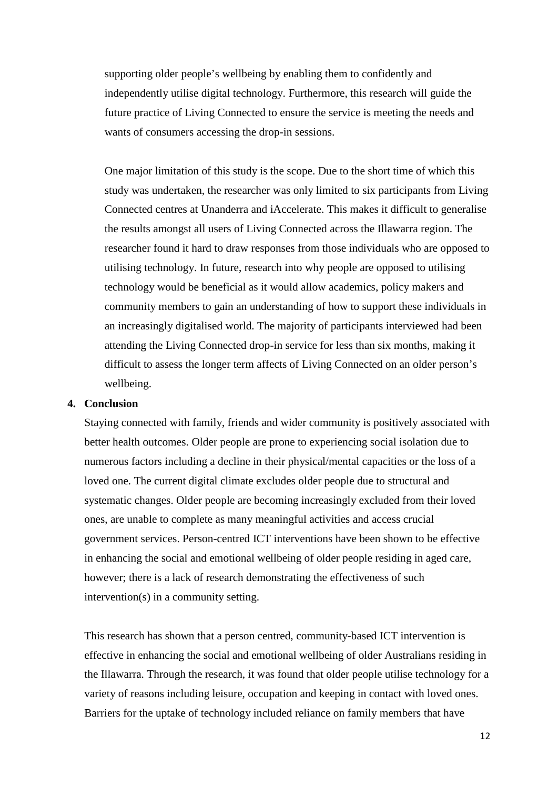supporting older people's wellbeing by enabling them to confidently and independently utilise digital technology. Furthermore, this research will guide the future practice of Living Connected to ensure the service is meeting the needs and wants of consumers accessing the drop-in sessions.

One major limitation of this study is the scope. Due to the short time of which this study was undertaken, the researcher was only limited to six participants from Living Connected centres at Unanderra and iAccelerate. This makes it difficult to generalise the results amongst all users of Living Connected across the Illawarra region. The researcher found it hard to draw responses from those individuals who are opposed to utilising technology. In future, research into why people are opposed to utilising technology would be beneficial as it would allow academics, policy makers and community members to gain an understanding of how to support these individuals in an increasingly digitalised world. The majority of participants interviewed had been attending the Living Connected drop-in service for less than six months, making it difficult to assess the longer term affects of Living Connected on an older person's wellbeing.

#### **4. Conclusion**

Staying connected with family, friends and wider community is positively associated with better health outcomes. Older people are prone to experiencing social isolation due to numerous factors including a decline in their physical/mental capacities or the loss of a loved one. The current digital climate excludes older people due to structural and systematic changes. Older people are becoming increasingly excluded from their loved ones, are unable to complete as many meaningful activities and access crucial government services. Person-centred ICT interventions have been shown to be effective in enhancing the social and emotional wellbeing of older people residing in aged care, however; there is a lack of research demonstrating the effectiveness of such intervention(s) in a community setting.

This research has shown that a person centred, community-based ICT intervention is effective in enhancing the social and emotional wellbeing of older Australians residing in the Illawarra. Through the research, it was found that older people utilise technology for a variety of reasons including leisure, occupation and keeping in contact with loved ones. Barriers for the uptake of technology included reliance on family members that have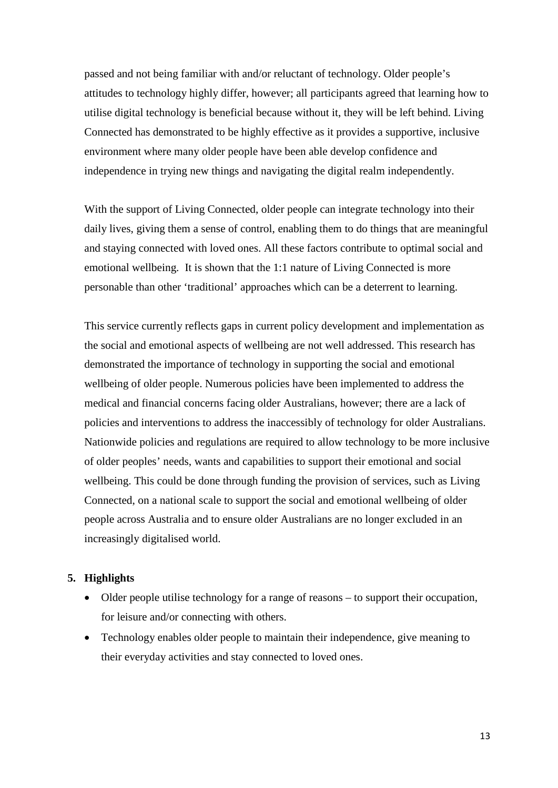passed and not being familiar with and/or reluctant of technology. Older people's attitudes to technology highly differ, however; all participants agreed that learning how to utilise digital technology is beneficial because without it, they will be left behind. Living Connected has demonstrated to be highly effective as it provides a supportive, inclusive environment where many older people have been able develop confidence and independence in trying new things and navigating the digital realm independently.

With the support of Living Connected, older people can integrate technology into their daily lives, giving them a sense of control, enabling them to do things that are meaningful and staying connected with loved ones. All these factors contribute to optimal social and emotional wellbeing. It is shown that the 1:1 nature of Living Connected is more personable than other 'traditional' approaches which can be a deterrent to learning.

This service currently reflects gaps in current policy development and implementation as the social and emotional aspects of wellbeing are not well addressed. This research has demonstrated the importance of technology in supporting the social and emotional wellbeing of older people. Numerous policies have been implemented to address the medical and financial concerns facing older Australians, however; there are a lack of policies and interventions to address the inaccessibly of technology for older Australians. Nationwide policies and regulations are required to allow technology to be more inclusive of older peoples' needs, wants and capabilities to support their emotional and social wellbeing. This could be done through funding the provision of services, such as Living Connected, on a national scale to support the social and emotional wellbeing of older people across Australia and to ensure older Australians are no longer excluded in an increasingly digitalised world.

#### **5. Highlights**

- Older people utilise technology for a range of reasons to support their occupation, for leisure and/or connecting with others.
- Technology enables older people to maintain their independence, give meaning to their everyday activities and stay connected to loved ones.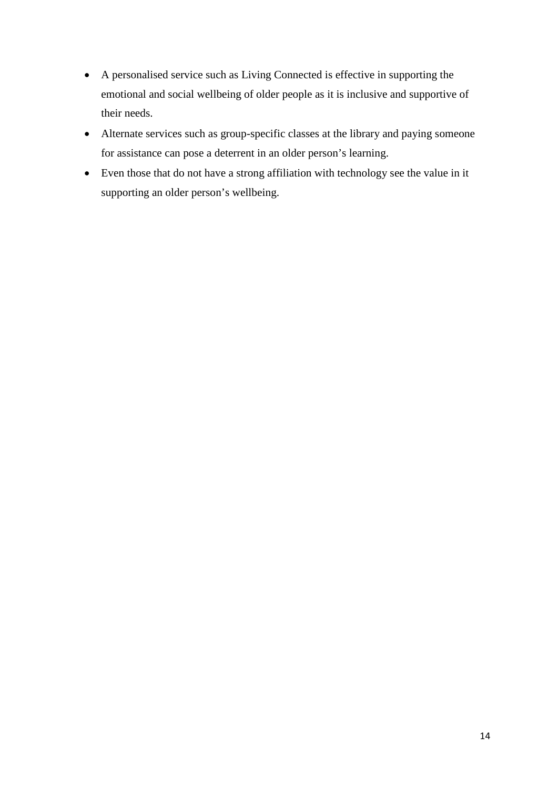- A personalised service such as Living Connected is effective in supporting the emotional and social wellbeing of older people as it is inclusive and supportive of their needs.
- Alternate services such as group-specific classes at the library and paying someone for assistance can pose a deterrent in an older person's learning.
- Even those that do not have a strong affiliation with technology see the value in it supporting an older person's wellbeing.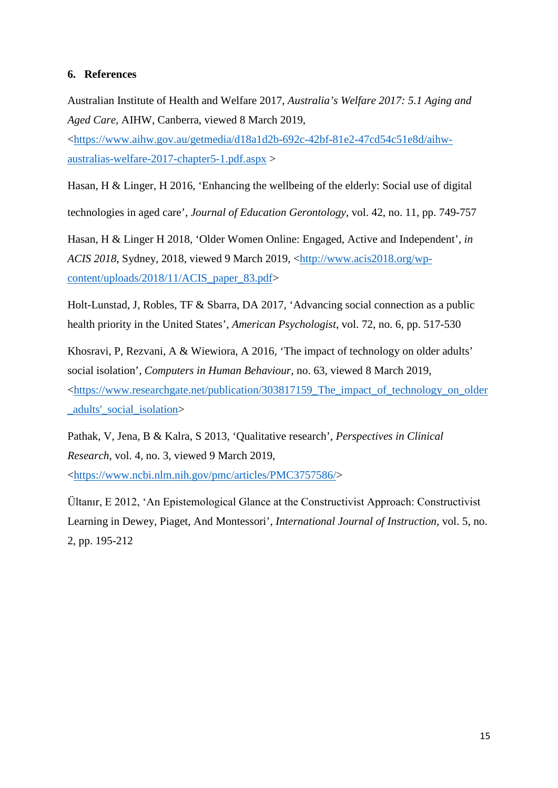## **6. References**

Australian Institute of Health and Welfare 2017, *Australia's Welfare 2017: 5.1 Aging and Aged Care*, AIHW, Canberra, viewed 8 March 2019,

[<https://www.aihw.gov.au/getmedia/d18a1d2b-692c-42bf-81e2-47cd54c51e8d/aihw](https://www.aihw.gov.au/getmedia/d18a1d2b-692c-42bf-81e2-47cd54c51e8d/aihw-australias-welfare-2017-chapter5-1.pdf.aspx)[australias-welfare-2017-chapter5-1.pdf.aspx](https://www.aihw.gov.au/getmedia/d18a1d2b-692c-42bf-81e2-47cd54c51e8d/aihw-australias-welfare-2017-chapter5-1.pdf.aspx) >

Hasan, H & Linger, H 2016, 'Enhancing the wellbeing of the elderly: Social use of digital technologies in aged care', *Journal of Education Gerontology,* vol. 42, no. 11, pp. 749-757

Hasan, H & Linger H 2018, 'Older Women Online: Engaged, Active and Independent', *in ACIS 2018*, Sydney, 2018, viewed 9 March 2019, [<http://www.acis2018.org/wp](http://www.acis2018.org/wp-content/uploads/2018/11/ACIS_paper_83.pdf)[content/uploads/2018/11/ACIS\\_paper\\_83.pdf>](http://www.acis2018.org/wp-content/uploads/2018/11/ACIS_paper_83.pdf)

Holt-Lunstad, J, Robles, TF & Sbarra, DA 2017, 'Advancing social connection as a public health priority in the United States', *American Psychologist*, vol. 72, no. 6, pp. 517-530

Khosravi, P, Rezvani, A & Wiewiora, A 2016, 'The impact of technology on older adults' social isolation', *Computers in Human Behaviour,* no. 63, viewed 8 March 2019, [<https://www.researchgate.net/publication/303817159\\_The\\_impact\\_of\\_technology\\_on\\_older](https://www.researchgate.net/publication/303817159_The_impact_of_technology_on_older_adults) [\\_adults'\\_social\\_isolation>](https://www.researchgate.net/publication/303817159_The_impact_of_technology_on_older_adults)

Pathak, V, Jena, B & Kalra, S 2013, 'Qualitative research', *Perspectives in Clinical Research*, vol. 4, no. 3, viewed 9 March 2019, [<https://www.ncbi.nlm.nih.gov/pmc/articles/PMC3757586/>](https://www.ncbi.nlm.nih.gov/pmc/articles/PMC3757586/)

Ültanır, E 2012, 'An Epistemological Glance at the Constructivist Approach: Constructivist Learning in Dewey, Piaget, And Montessori', *International Journal of Instruction*, vol. 5, no. 2, pp. 195-212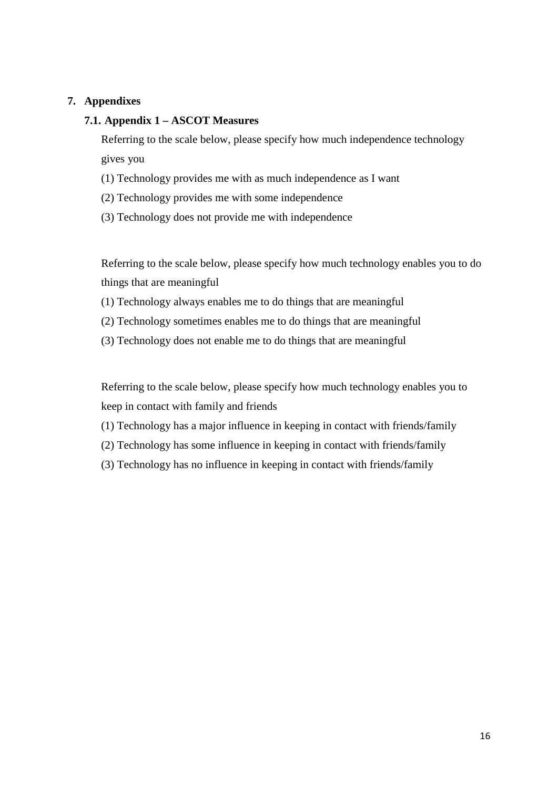# **7. Appendixes**

# **7.1. Appendix 1 – ASCOT Measures**

Referring to the scale below, please specify how much independence technology gives you

- (1) Technology provides me with as much independence as I want
- (2) Technology provides me with some independence
- (3) Technology does not provide me with independence

Referring to the scale below, please specify how much technology enables you to do things that are meaningful

- (1) Technology always enables me to do things that are meaningful
- (2) Technology sometimes enables me to do things that are meaningful
- (3) Technology does not enable me to do things that are meaningful

Referring to the scale below, please specify how much technology enables you to keep in contact with family and friends

- (1) Technology has a major influence in keeping in contact with friends/family
- (2) Technology has some influence in keeping in contact with friends/family
- (3) Technology has no influence in keeping in contact with friends/family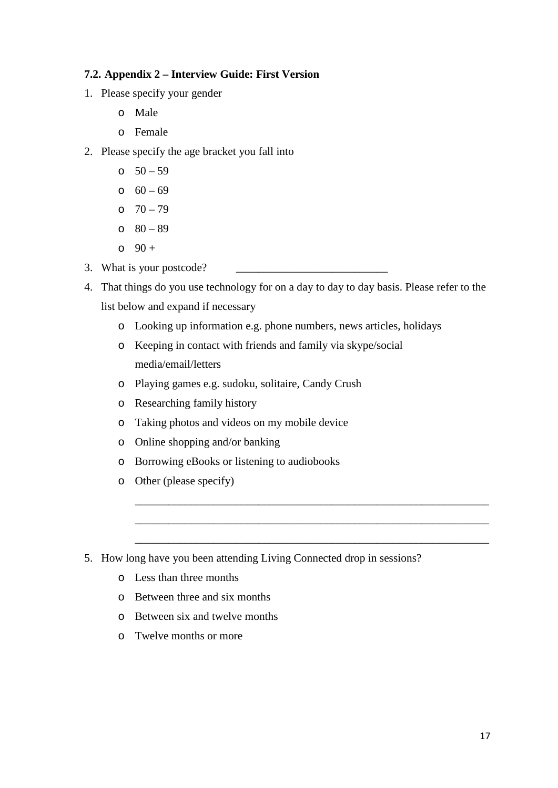# **7.2. Appendix 2 – Interview Guide: First Version**

- 1. Please specify your gender
	- o Male
	- o Female
- 2. Please specify the age bracket you fall into
	- o  $50 59$
	- $0 69$
	- o  $70 79$
	- $0 89$
	- $0 + 90 +$
- 3. What is your postcode?
- 4. That things do you use technology for on a day to day to day basis. Please refer to the list below and expand if necessary
	- o Looking up information e.g. phone numbers, news articles, holidays

\_\_\_\_\_\_\_\_\_\_\_\_\_\_\_\_\_\_\_\_\_\_\_\_\_\_\_\_\_\_\_\_\_\_\_\_\_\_\_\_\_\_\_\_\_\_\_\_\_\_\_\_\_\_\_\_\_\_\_\_\_\_\_

\_\_\_\_\_\_\_\_\_\_\_\_\_\_\_\_\_\_\_\_\_\_\_\_\_\_\_\_\_\_\_\_\_\_\_\_\_\_\_\_\_\_\_\_\_\_\_\_\_\_\_\_\_\_\_\_\_\_\_\_\_\_\_

- o Keeping in contact with friends and family via skype/social media/email/letters
- o Playing games e.g. sudoku, solitaire, Candy Crush
- o Researching family history
- o Taking photos and videos on my mobile device
- o Online shopping and/or banking
- o Borrowing eBooks or listening to audiobooks
- o Other (please specify)
- 5. How long have you been attending Living Connected drop in sessions?
	- o Less than three months
	- o Between three and six months
	- o Between six and twelve months
	- o Twelve months or more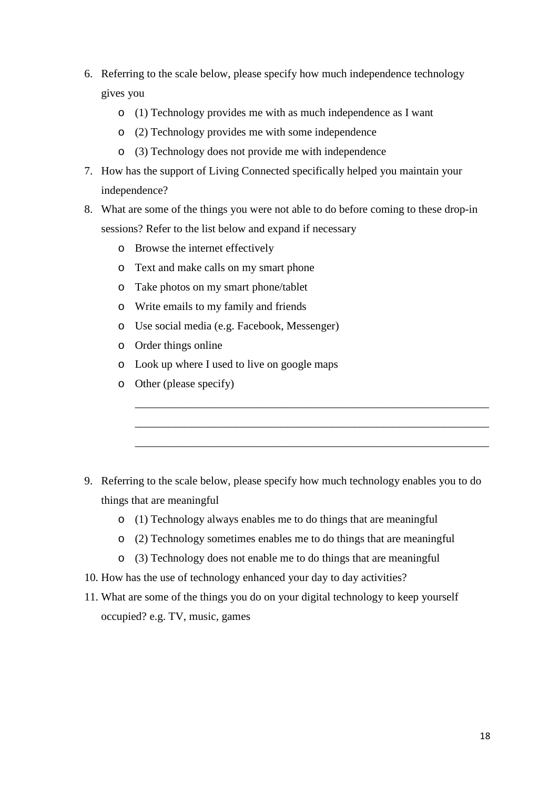- 6. Referring to the scale below, please specify how much independence technology gives you
	- o (1) Technology provides me with as much independence as I want
	- o (2) Technology provides me with some independence
	- o (3) Technology does not provide me with independence
- 7. How has the support of Living Connected specifically helped you maintain your independence?
- 8. What are some of the things you were not able to do before coming to these drop-in sessions? Refer to the list below and expand if necessary
	- o Browse the internet effectively
	- o Text and make calls on my smart phone
	- o Take photos on my smart phone/tablet
	- o Write emails to my family and friends
	- o Use social media (e.g. Facebook, Messenger)
	- o Order things online
	- o Look up where I used to live on google maps
	- o Other (please specify)

9. Referring to the scale below, please specify how much technology enables you to do things that are meaningful

\_\_\_\_\_\_\_\_\_\_\_\_\_\_\_\_\_\_\_\_\_\_\_\_\_\_\_\_\_\_\_\_\_\_\_\_\_\_\_\_\_\_\_\_\_\_\_\_\_\_\_\_\_\_\_\_\_\_\_\_\_\_\_

\_\_\_\_\_\_\_\_\_\_\_\_\_\_\_\_\_\_\_\_\_\_\_\_\_\_\_\_\_\_\_\_\_\_\_\_\_\_\_\_\_\_\_\_\_\_\_\_\_\_\_\_\_\_\_\_\_\_\_\_\_\_\_

- o (1) Technology always enables me to do things that are meaningful
- o (2) Technology sometimes enables me to do things that are meaningful
- o (3) Technology does not enable me to do things that are meaningful
- 10. How has the use of technology enhanced your day to day activities?
- 11. What are some of the things you do on your digital technology to keep yourself occupied? e.g. TV, music, games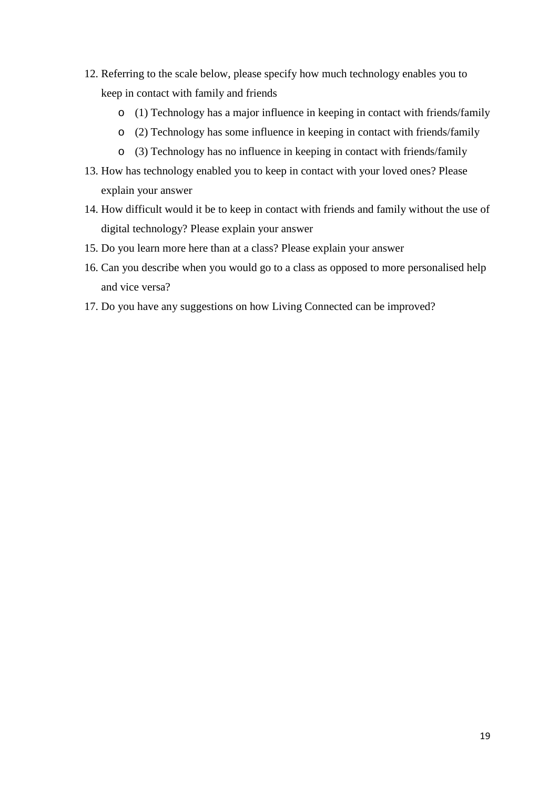- 12. Referring to the scale below, please specify how much technology enables you to keep in contact with family and friends
	- o (1) Technology has a major influence in keeping in contact with friends/family
	- o (2) Technology has some influence in keeping in contact with friends/family
	- o (3) Technology has no influence in keeping in contact with friends/family
- 13. How has technology enabled you to keep in contact with your loved ones? Please explain your answer
- 14. How difficult would it be to keep in contact with friends and family without the use of digital technology? Please explain your answer
- 15. Do you learn more here than at a class? Please explain your answer
- 16. Can you describe when you would go to a class as opposed to more personalised help and vice versa?
- 17. Do you have any suggestions on how Living Connected can be improved?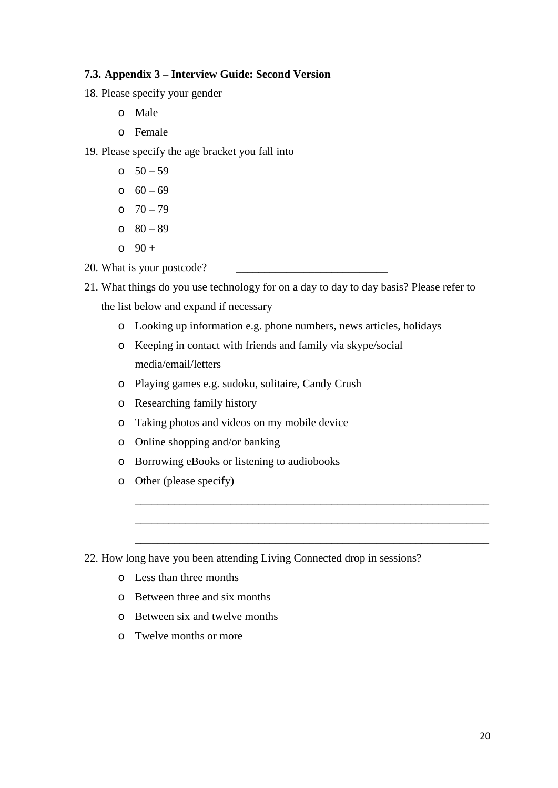# **7.3. Appendix 3 – Interview Guide: Second Version**

- 18. Please specify your gender
	- o Male
	- o Female

19. Please specify the age bracket you fall into

- o  $50 59$
- $0 69$
- o  $70 79$
- $0 89$
- $0 + 90 +$
- 20. What is your postcode?
- 21. What things do you use technology for on a day to day to day basis? Please refer to the list below and expand if necessary
	- o Looking up information e.g. phone numbers, news articles, holidays

\_\_\_\_\_\_\_\_\_\_\_\_\_\_\_\_\_\_\_\_\_\_\_\_\_\_\_\_\_\_\_\_\_\_\_\_\_\_\_\_\_\_\_\_\_\_\_\_\_\_\_\_\_\_\_\_\_\_\_\_\_\_\_

\_\_\_\_\_\_\_\_\_\_\_\_\_\_\_\_\_\_\_\_\_\_\_\_\_\_\_\_\_\_\_\_\_\_\_\_\_\_\_\_\_\_\_\_\_\_\_\_\_\_\_\_\_\_\_\_\_\_\_\_\_\_\_

- o Keeping in contact with friends and family via skype/social media/email/letters
- o Playing games e.g. sudoku, solitaire, Candy Crush
- o Researching family history
- o Taking photos and videos on my mobile device
- o Online shopping and/or banking
- o Borrowing eBooks or listening to audiobooks
- o Other (please specify)
- 22. How long have you been attending Living Connected drop in sessions?
	- o Less than three months
	- o Between three and six months
	- o Between six and twelve months
	- o Twelve months or more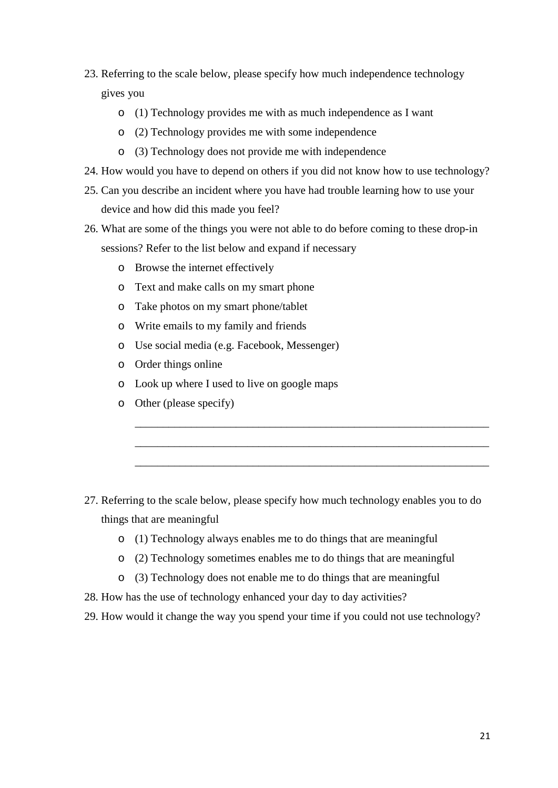- 23. Referring to the scale below, please specify how much independence technology gives you
	- o (1) Technology provides me with as much independence as I want
	- o (2) Technology provides me with some independence
	- o (3) Technology does not provide me with independence
- 24. How would you have to depend on others if you did not know how to use technology?
- 25. Can you describe an incident where you have had trouble learning how to use your device and how did this made you feel?
- 26. What are some of the things you were not able to do before coming to these drop-in sessions? Refer to the list below and expand if necessary
	- o Browse the internet effectively
	- o Text and make calls on my smart phone
	- o Take photos on my smart phone/tablet
	- o Write emails to my family and friends
	- o Use social media (e.g. Facebook, Messenger)
	- o Order things online
	- o Look up where I used to live on google maps
	- o Other (please specify)

27. Referring to the scale below, please specify how much technology enables you to do things that are meaningful

\_\_\_\_\_\_\_\_\_\_\_\_\_\_\_\_\_\_\_\_\_\_\_\_\_\_\_\_\_\_\_\_\_\_\_\_\_\_\_\_\_\_\_\_\_\_\_\_\_\_\_\_\_\_\_\_\_\_\_\_\_\_\_

\_\_\_\_\_\_\_\_\_\_\_\_\_\_\_\_\_\_\_\_\_\_\_\_\_\_\_\_\_\_\_\_\_\_\_\_\_\_\_\_\_\_\_\_\_\_\_\_\_\_\_\_\_\_\_\_\_\_\_\_\_\_\_

- o (1) Technology always enables me to do things that are meaningful
- o (2) Technology sometimes enables me to do things that are meaningful
- o (3) Technology does not enable me to do things that are meaningful
- 28. How has the use of technology enhanced your day to day activities?
- 29. How would it change the way you spend your time if you could not use technology?